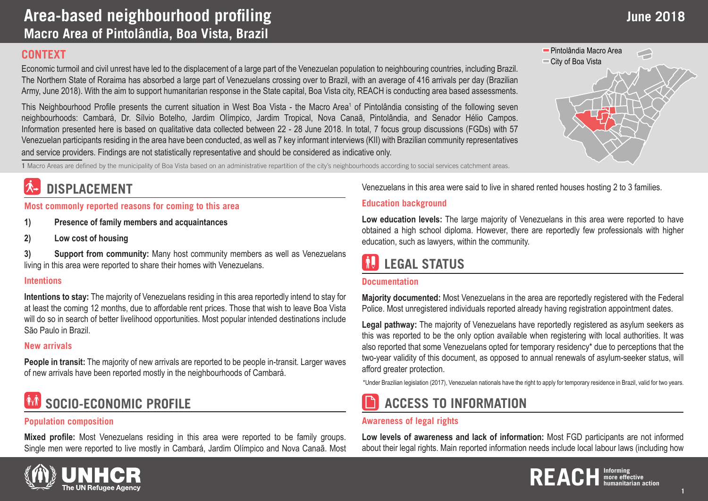### **CONTEXT**

Economic turmoil and civil unrest have led to the displacement of a large part of the Venezuelan population to neighbouring countries, including Brazil. The Northern State of Roraima has absorbed a large part of Venezuelans crossing over to Brazil, with an average of 416 arrivals per day (Brazilian Army, June 2018). With the aim to support humanitarian response in the State capital, Boa Vista city, REACH is conducting area based assessments.

This Neighbourhood Profile presents the current situation in West Boa Vista - the Macro Area<sup>1</sup> of Pintolândia consisting of the following seven neighbourhoods: Cambará, Dr. Sílvio Botelho, Jardim Olímpico, Jardim Tropical, Nova Canaã, Pintolândia, and Senador Hélio Campos. Information presented here is based on qualitative data collected between 22 - 28 June 2018. In total, 7 focus group discussions (FGDs) with 57 Venezuelan participants residing in the area have been conducted, as well as 7 key informant interviews (KII) with Brazilian community representatives and service providers. Findings are not statistically representative and should be considered as indicative only.

**1** Macro Areas are defined by the municipality of Boa Vista based on an administrative repartition of the city's neighbourhoods according to social services catchment areas.

## **DISPLACEMENT**

**Most commonly reported reasons for coming to this area**

**1) Presence of family members and acquaintances**

**2) Low cost of housing** 

**3) Support from community:** Many host community members as well as Venezuelans living in this area were reported to share their homes with Venezuelans.

### **Intentions**

**Intentions to stay:** The majority of Venezuelans residing in this area reportedly intend to stay for at least the coming 12 months, due to affordable rent prices. Those that wish to leave Boa Vista will do so in search of better livelihood opportunities. Most popular intended destinations include São Paulo in Brazil.

### **New arrivals**

**People in transit:** The majority of new arrivals are reported to be people in-transit. Larger waves of new arrivals have been reported mostly in the neighbourhoods of Cambará.

# **SOCIO-ECONOMIC PROFILE**

### **Population composition**

**Mixed profile:** Most Venezuelans residing in this area were reported to be family groups. Single men were reported to live mostly in Cambará, Jardim Olímpico and Nova Canaã. Most Venezuelans in this area were said to live in shared rented houses hosting 2 to 3 families.

### **Education background**

**Low education levels:** The large majority of Venezuelans in this area were reported to have obtained a high school diploma. However, there are reportedly few professionals with higher education, such as lawyers, within the community.

# **LEGAL STATUS**

### **Documentation**

**Majority documented:** Most Venezuelans in the area are reportedly registered with the Federal Police. Most unregistered individuals reported already having registration appointment dates.

**Legal pathway:** The majority of Venezuelans have reportedly registered as asylum seekers as this was reported to be the only option available when registering with local authorities. It was also reported that some Venezuelans opted for temporary residency\* due to perceptions that the two-year validity of this document, as opposed to annual renewals of asylum-seeker status, will afford greater protection.

\*Under Brazilian legislation (2017), Venezuelan nationals have the right to apply for temporary residence in Brazil, valid for two years.

### **ACCESS TO INFORMATION**

### **Awareness of legal rights**

**Low levels of awareness and lack of information:** Most FGD participants are not informed about their legal rights. Main reported information needs include local labour laws (including how



 **1**

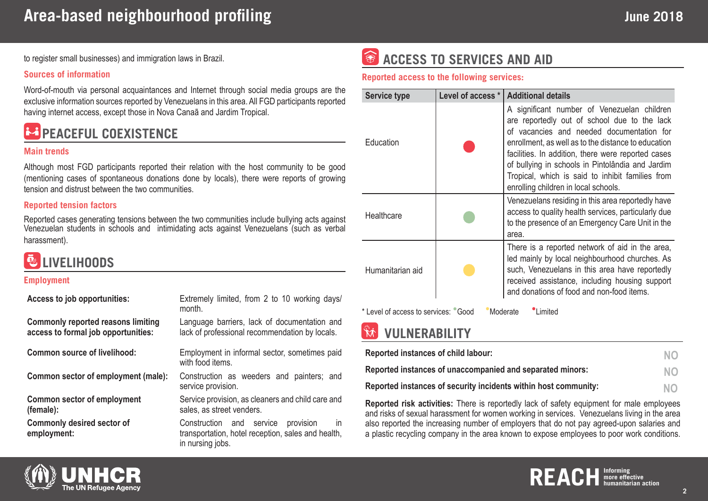to register small businesses) and immigration laws in Brazil.

#### **Sources of information**

Word-of-mouth via personal acquaintances and Internet through social media groups are the exclusive information sources reported by Venezuelans in this area. All FGD participants reported having internet access, except those in Nova Canaã and Jardim Tropical.

# **PEACEFUL COEXISTENCE**

### **Main trends**

Although most FGD participants reported their relation with the host community to be good (mentioning cases of spontaneous donations done by locals), there were reports of growing tension and distrust between the two communities.

### **Reported tension factors**

Reported cases generating tensions between the two communities include bullying acts against Venezuelan students in schools and intimidating acts against Venezuelans (such as verbal harassment).

# **LIVELIHOODS**

#### **Employment**

| Access to job opportunities:                                                     | Extremely limited, from 2 to 10 working days/<br>month.                                                                         |
|----------------------------------------------------------------------------------|---------------------------------------------------------------------------------------------------------------------------------|
| <b>Commonly reported reasons limiting</b><br>access to formal job opportunities: | Language barriers, lack of documentation and<br>lack of professional recommendation by locals.                                  |
| <b>Common source of livelihood:</b>                                              | Employment in informal sector, sometimes paid<br>with food items.                                                               |
| Common sector of employment (male):                                              | Construction as weeders and painters; and<br>service provision.                                                                 |
| <b>Common sector of employment</b><br>(female):                                  | Service provision, as cleaners and child care and<br>sales, as street venders.                                                  |
| <b>Commonly desired sector of</b><br>employment:                                 | provision<br>Construction and service<br>$\mathsf{I}$<br>transportation, hotel reception, sales and health,<br>in nursing jobs. |

# **CESS TO SERVICES AND AID**

### **Reported access to the following services:**

| <b>Service type</b>                                               | Level of access * | <b>Additional details</b>                                                                                                                                                                                                                                                                                                                                                                             |  |
|-------------------------------------------------------------------|-------------------|-------------------------------------------------------------------------------------------------------------------------------------------------------------------------------------------------------------------------------------------------------------------------------------------------------------------------------------------------------------------------------------------------------|--|
| Education                                                         |                   | A significant number of Venezuelan children<br>are reportedly out of school due to the lack<br>of vacancies and needed documentation for<br>enrollment, as well as to the distance to education<br>facilities. In addition, there were reported cases<br>of bullying in schools in Pintolândia and Jardim<br>Tropical, which is said to inhibit families from<br>enrolling children in local schools. |  |
| Healthcare                                                        |                   | Venezuelans residing in this area reportedly have<br>access to quality health services, particularly due<br>to the presence of an Emergency Care Unit in the<br>area.                                                                                                                                                                                                                                 |  |
| Humanitarian aid                                                  |                   | There is a reported network of aid in the area,<br>led mainly by local neighbourhood churches. As<br>such, Venezuelans in this area have reportedly<br>received assistance, including housing support<br>and donations of food and non-food items.                                                                                                                                                    |  |
| * Level of access to services: Cood<br><i>Limited</i><br>Moderate |                   |                                                                                                                                                                                                                                                                                                                                                                                                       |  |

### **VULNERABILITY**

| Reported instances of child labour:                             | NO.       |
|-----------------------------------------------------------------|-----------|
| Reported instances of unaccompanied and separated minors:       | NO.       |
| Reported instances of security incidents within host community: | <b>NO</b> |

**Reported risk activities:** There is reportedly lack of safety equipment for male employees and risks of sexual harassment for women working in services. Venezuelans living in the area also reported the increasing number of employers that do not pay agreed-upon salaries and a plastic recycling company in the area known to expose employees to poor work conditions.